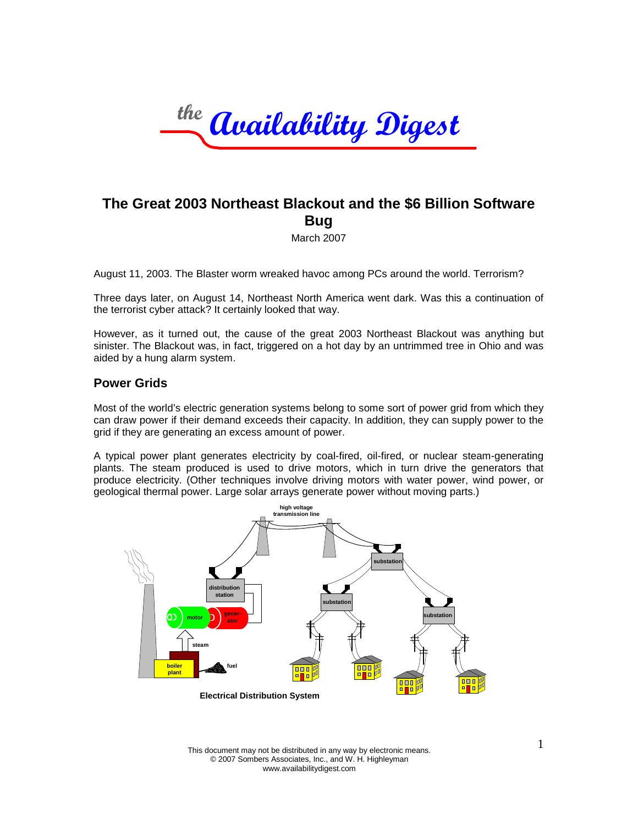

# **The Great 2003 Northeast Blackout and the \$6 Billion Software Bug**

March 2007

August 11, 2003. The Blaster worm wreaked havoc among PCs around the world. Terrorism?

Three days later, on August 14, Northeast North America went dark. Was this a continuation of the terrorist cyber attack? It certainly looked that way.

However, as it turned out, the cause of the great 2003 Northeast Blackout was anything but sinister. The Blackout was, in fact, triggered on a hot day by an untrimmed tree in Ohio and was aided by a hung alarm system.

### **Power Grids**

Most of the world's electric generation systems belong to some sort of power grid from which they can draw power if their demand exceeds their capacity. In addition, they can supply power to the grid if they are generating an excess amount of power.

A typical power plant generates electricity by coal-fired, oil-fired, or nuclear steam-generating plants. The steam produced is used to drive motors, which in turn drive the generators that produce electricity. (Other techniques involve driving motors with water power, wind power, or geological thermal power. Large solar arrays generate power without moving parts.)



This document may not be distributed in any way by electronic means. © 2007 Sombers Associates, Inc., and W. H. Highleyman www.availabilitydigest.com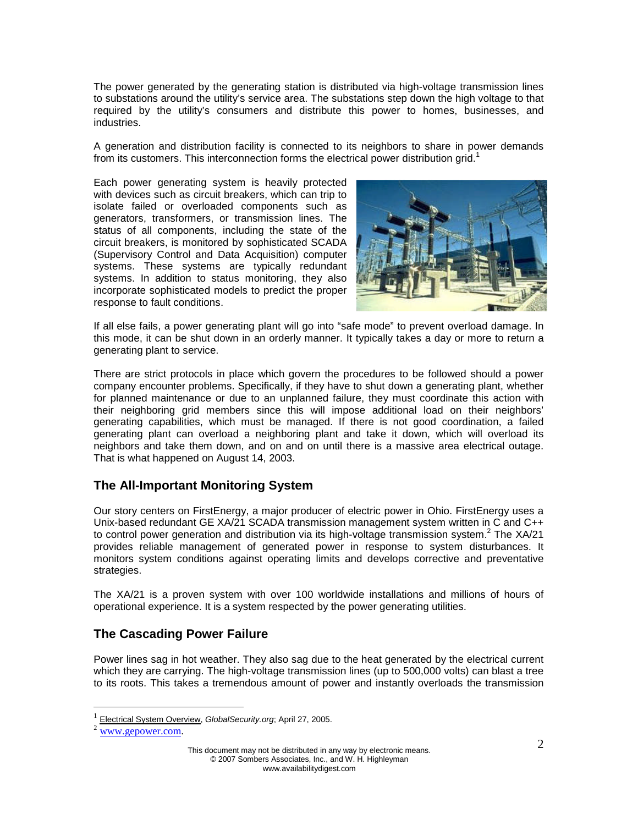The power generated by the generating station is distributed via high-voltage transmission lines to substations around the utility's service area. The substations step down the high voltage to that required by the utility's consumers and distribute this power to homes, businesses, and industries.

A generation and distribution facility is connected to its neighbors to share in power demands fromits customers. This interconnection forms the electrical power distribution grid. $1$ 

Each power generating system is heavily protected with devices such as circuit breakers, which can trip to isolate failed or overloaded components such as generators, transformers, or transmission lines. The status of all components, including the state of the circuit breakers, is monitored by sophisticated SCADA (Supervisory Control and Data Acquisition) computer systems. These systems are typically redundant systems. In addition to status monitoring, they also incorporate sophisticated models to predict the proper response to fault conditions.



If all else fails, a power generating plant will go into "safe mode" to prevent overload damage. In this mode, it can be shut down in an orderly manner. It typically takes a day or more to return a generating plant to service.

There are strict protocols in place which govern the procedures to be followed should a power company encounter problems. Specifically, if they have to shut down a generating plant, whether for planned maintenance or due to an unplanned failure, they must coordinate this action with their neighboring grid members since this will impose additional load on their neighbors' generating capabilities, which must be managed. If there is not good coordination, a failed generating plant can overload a neighboring plant and take it down, which will overload its neighbors and take them down, and on and on until there is a massive area electrical outage. That is what happened on August 14, 2003.

# **The All-Important Monitoring System**

Our story centers on FirstEnergy, a major producer of electric power in Ohio. FirstEnergy uses a Unix-based redundant GE XA/21 SCADA transmission management system written in C and C++ to control power generation and distribution via its high-voltage transmission system.<sup>[2](#page-1-1)</sup> The XA/21 provides reliable management of generated power in response to system disturbances. It monitors system conditions against operating limits and develops corrective and preventative strategies.

The XA/21 is a proven system with over 100 worldwide installations and millions of hours of operational experience. It is a system respected by the power generating utilities.

# **The Cascading Power Failure**

Power lines sag in hot weather. They also sag due to the heat generated by the electrical current which they are carrying. The high-voltage transmission lines (up to 500,000 volts) can blast a tree to its roots. This takes a tremendous amount of power and instantly overloads the transmission

<span id="page-1-1"></span><span id="page-1-0"></span><sup>1</sup> Electrical System Overview, *GlobalSecurity.org*; April 27, 2005.

www.gepower.com.

This document may not be distributed in any way by electronic means. © 2007 Sombers Associates, Inc., and W. H. Highleyman www.availabilitydigest.com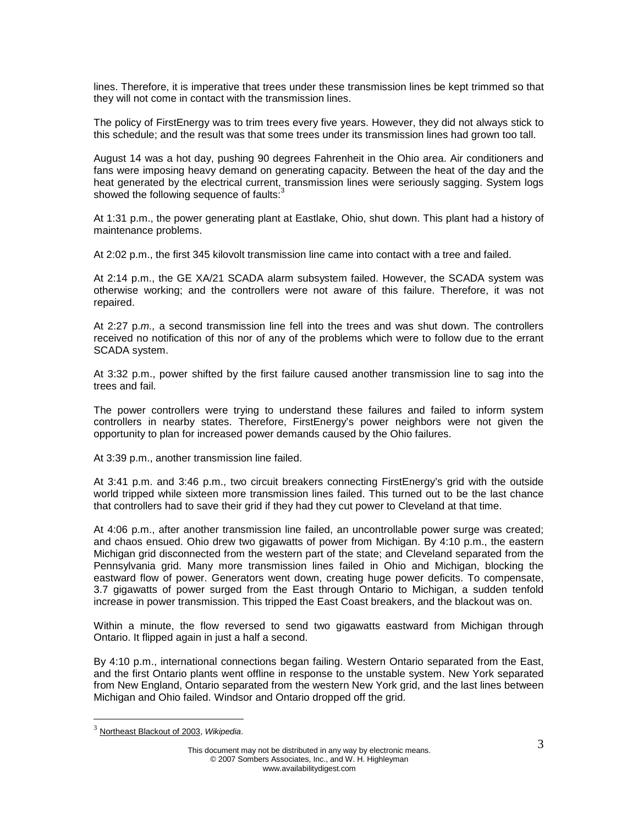lines. Therefore, it is imperative that trees under these transmission lines be kept trimmed so that they will not come in contact with the transmission lines.

The policy of FirstEnergy was to trim trees every five years. However, they did not always stick to this schedule; and the result was that some trees under its transmission lines had grown too tall.

August 14 was a hot day, pushing 90 degrees Fahrenheit in the Ohio area. Air conditioners and fans were imposing heavy demand on generating capacity. Between the heat of the day and the heat generated by the electrical current, transmission lines were seriously sagging. System logs showed the following sequence of faults: $3$ 

At 1:31 p.m., the power generating plant at Eastlake, Ohio, shut down. This plant had a history of maintenance problems.

At 2:02 p.m., the first 345 kilovolt transmission line came into contact with a tree and failed.

At 2:14 p.m., the GE XA/21 SCADA alarm subsystem failed. However, the SCADA system was otherwise working; and the controllers were not aware of this failure. Therefore, it was not repaired.

At 2:27 p.*m.,* a second transmission line fell into the trees and was shut down. The controllers received no notification of this nor of any of the problems which were to follow due to the errant SCADA system.

At 3:32 p.m., power shifted by the first failure caused another transmission line to sag into the trees and fail.

The power controllers were trying to understand these failures and failed to inform system controllers in nearby states. Therefore, FirstEnergy's power neighbors were not given the opportunity to plan for increased power demands caused by the Ohio failures.

At 3:39 p.m., another transmission line failed.

At 3:41 p.m. and 3:46 p.m., two circuit breakers connecting FirstEnergy's grid with the outside world tripped while sixteen more transmission lines failed. This turned out to be the last chance that controllers had to save their grid if they had they cut power to Cleveland at that time.

At 4:06 p.m., after another transmission line failed, an uncontrollable power surge was created; and chaos ensued. Ohio drew two gigawatts of power from Michigan. By 4:10 p.m., the eastern Michigan grid disconnected from the western part of the state; and Cleveland separated from the Pennsylvania grid. Many more transmission lines failed in Ohio and Michigan, blocking the eastward flow of power. Generators went down, creating huge power deficits. To compensate, 3.7 gigawatts of power surged from the East through Ontario to Michigan, a sudden tenfold increase in power transmission. This tripped the East Coast breakers, and the blackout was on.

Within a minute, the flow reversed to send two gigawatts eastward from Michigan through Ontario. It flipped again in just a half a second.

By 4:10 p.m., international connections began failing. Western Ontario separated from the East, and the first Ontario plants went offline in response to the unstable system. New York separated from New England, Ontario separated from the western New York grid, and the last lines between Michigan and Ohio failed. Windsor and Ontario dropped off the grid.

<sup>3</sup> Northeast Blackout of 2003, *Wikipedia*.

This document may not be distributed in any way by electronic means. © 2007 Sombers Associates, Inc., and W. H. Highleyman www.availabilitydigest.com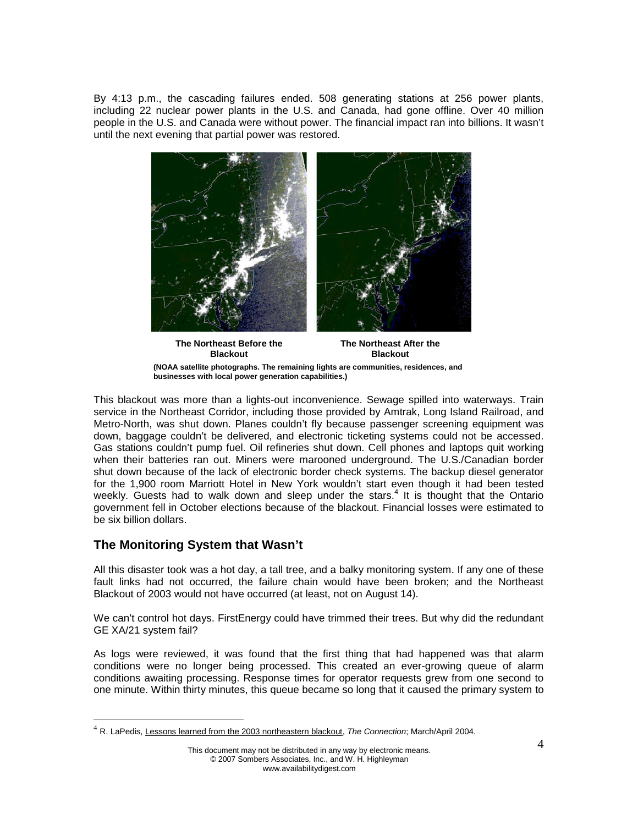By 4:13 p.m., the cascading failures ended. 508 generating stations at 256 power plants, including 22 nuclear power plants in the U.S. and Canada, had gone offline. Over 40 million people in the U.S. and Canada were without power. The financial impact ran into billions. It wasn't until the next evening that partial power was restored.



**The Northeast Before the Blackout The Northeast After the Blackout (NOAA satellite photographs. The remaining lights are communities, residences, and businesses with local power generation capabilities.)**

This blackout was more than a lights-out inconvenience. Sewage spilled into waterways. Train service in the Northeast Corridor, including those provided by Amtrak, Long Island Railroad, and Metro-North, was shut down. Planes couldn't fly because passenger screening equipment was down, baggage couldn't be delivered, and electronic ticketing systems could not be accessed. Gas stations couldn't pump fuel. Oil refineries shut down. Cell phones and laptops quit working when their batteries ran out. Miners were marooned underground. The U.S./Canadian border shut down because of the lack of electronic border check systems. The backup diesel generator for the 1,900 room Marriott Hotel in New York wouldn't start even though it had been tested weekly.Guests had to walk down and sleep under the stars[.](#page-3-0)<sup>4</sup> It is thought that the Ontario government fell in October elections because of the blackout. Financial losses were estimated to be six billion dollars.

# **The Monitoring System that Wasn't**

All this disaster took was a hot day, a tall tree, and a balky monitoring system. If any one of these fault links had not occurred, the failure chain would have been broken; and the Northeast Blackout of 2003 would not have occurred (at least, not on August 14).

We can't control hot days. FirstEnergy could have trimmed their trees. But why did the redundant GE XA/21 system fail?

As logs were reviewed, it was found that the first thing that had happened was that alarm conditions were no longer being processed. This created an ever-growing queue of alarm conditions awaiting processing. Response times for operator requests grew from one second to one minute. Within thirty minutes, this queue became so long that it caused the primary system to

<span id="page-3-0"></span><sup>4</sup> R. LaPedis, Lessons learned from the 2003 northeastern blackout, *The Connection*; March/April 2004.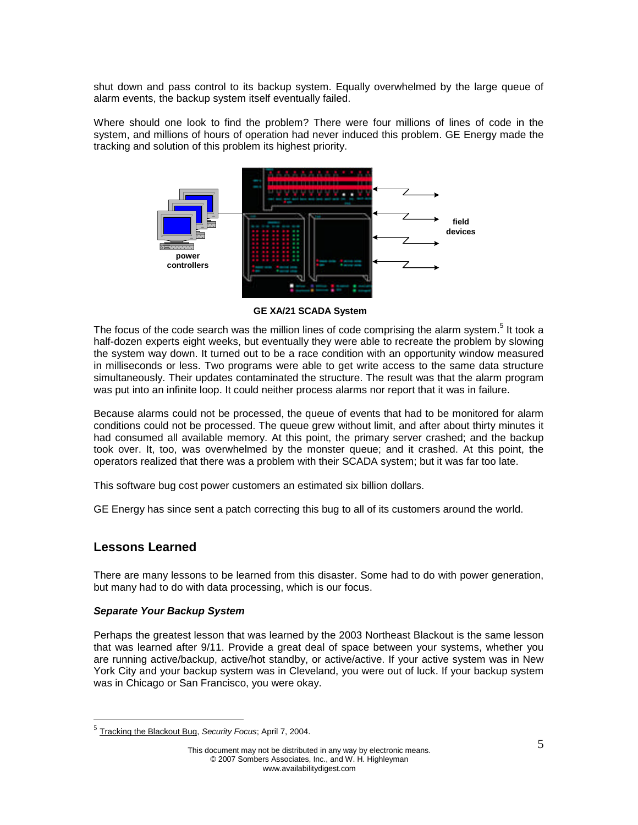shut down and pass control to its backup system. Equally overwhelmed by the large queue of alarm events, the backup system itself eventually failed.

Where should one look to find the problem? There were four millions of lines of code in the system, and millions of hours of operation had never induced this problem. GE Energy made the tracking and solution of this problem its highest priority.



**GE XA/21 SCADA System**

The focus of the code search was the million lines of code comprising the alarm system.<sup>[5](#page-4-0)</sup> It took a half-dozen experts eight weeks, but eventually they were able to recreate the problem by slowing the system way down. It turned out to be a race condition with an opportunity window measured in milliseconds or less. Two programs were able to get write access to the same data structure simultaneously. Their updates contaminated the structure. The result was that the alarm program was put into an infinite loop. It could neither process alarms nor report that it was in failure.

Because alarms could not be processed, the queue of events that had to be monitored for alarm conditions could not be processed. The queue grew without limit, and after about thirty minutes it had consumed all available memory. At this point, the primary server crashed; and the backup took over. It, too, was overwhelmed by the monster queue; and it crashed. At this point, the operators realized that there was a problem with their SCADA system; but it was far too late.

This software bug cost power customers an estimated six billion dollars.

GE Energy has since sent a patch correcting this bug to all of its customers around the world.

## **Lessons Learned**

There are many lessons to be learned from this disaster. Some had to do with power generation, but many had to do with data processing, which is our focus.

### *Separate Your Backup System*

Perhaps the greatest lesson that was learned by the 2003 Northeast Blackout is the same lesson that was learned after 9/11. Provide a great deal of space between your systems, whether you are running active/backup, active/hot standby, or active/active. If your active system was in New York City and your backup system was in Cleveland, you were out of luck. If your backup system was in Chicago or San Francisco, you were okay.

<span id="page-4-0"></span><sup>5</sup> Tracking the Blackout Bug, *Security Focus*; April 7, 2004.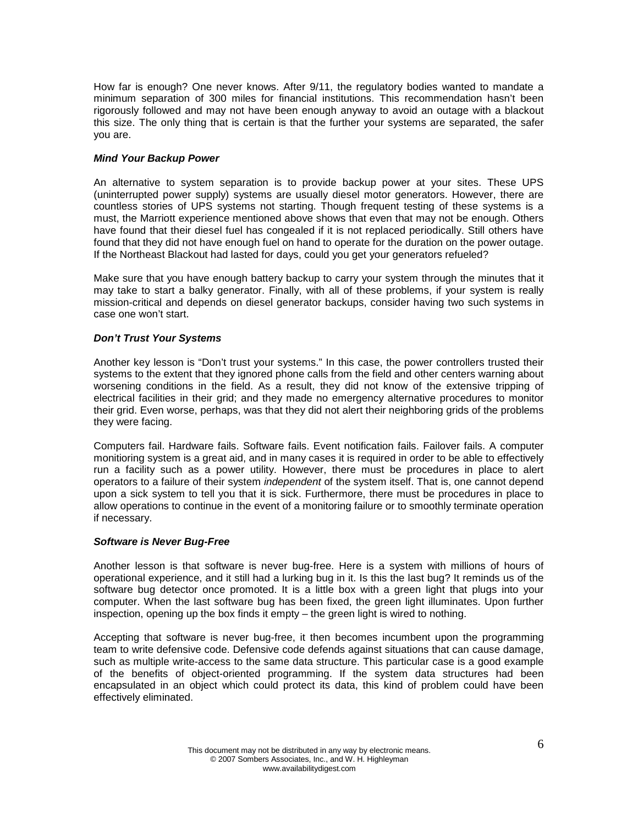How far is enough? One never knows. After 9/11, the regulatory bodies wanted to mandate a minimum separation of 300 miles for financial institutions. This recommendation hasn't been rigorously followed and may not have been enough anyway to avoid an outage with a blackout this size. The only thing that is certain is that the further your systems are separated, the safer you are.

#### *Mind Your Backup Power*

An alternative to system separation is to provide backup power at your sites. These UPS (uninterrupted power supply) systems are usually diesel motor generators. However, there are countless stories of UPS systems not starting. Though frequent testing of these systems is a must, the Marriott experience mentioned above shows that even that may not be enough. Others have found that their diesel fuel has congealed if it is not replaced periodically. Still others have found that they did not have enough fuel on hand to operate for the duration on the power outage. If the Northeast Blackout had lasted for days, could you get your generators refueled?

Make sure that you have enough battery backup to carry your system through the minutes that it may take to start a balky generator. Finally, with all of these problems, if your system is really mission-critical and depends on diesel generator backups, consider having two such systems in case one won't start.

#### *Don't Trust Your Systems*

Another key lesson is "Don't trust your systems." In this case, the power controllers trusted their systems to the extent that they ignored phone calls from the field and other centers warning about worsening conditions in the field. As a result, they did not know of the extensive tripping of electrical facilities in their grid; and they made no emergency alternative procedures to monitor their grid. Even worse, perhaps, was that they did not alert their neighboring grids of the problems they were facing.

Computers fail. Hardware fails. Software fails. Event notification fails. Failover fails. A computer monitioring system is a great aid, and in many cases it is required in order to be able to effectively run a facility such as a power utility. However, there must be procedures in place to alert operators to a failure of their system *independent* of the system itself. That is, one cannot depend upon a sick system to tell you that it is sick. Furthermore, there must be procedures in place to allow operations to continue in the event of a monitoring failure or to smoothly terminate operation if necessary.

#### *Software is Never Bug-Free*

Another lesson is that software is never bug-free. Here is a system with millions of hours of operational experience, and it still had a lurking bug in it. Is this the last bug? It reminds us of the software bug detector once promoted. It is a little box with a green light that plugs into your computer. When the last software bug has been fixed, the green light illuminates. Upon further inspection, opening up the box finds it empty – the green light is wired to nothing.

Accepting that software is never bug-free, it then becomes incumbent upon the programming team to write defensive code. Defensive code defends against situations that can cause damage, such as multiple write-access to the same data structure. This particular case is a good example of the benefits of object-oriented programming. If the system data structures had been encapsulated in an object which could protect its data, this kind of problem could have been effectively eliminated.